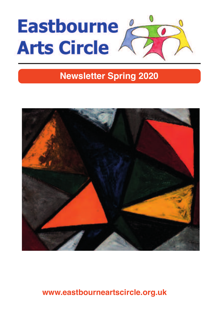

## **Newsletter Spring 2020**



#### **www.eastbourneartscircle.org.uk**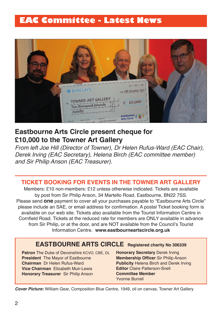### **EAC Committee - Latest News**



#### **eastbourne arts circle present cheque for £10,000 to the towner art Gallery**

From left Joe Hill (Director of Towner), Dr Helen Rufus-Ward (EAC Chair), Derek Irving (EAC Secretary), Helena Birch (EAC committee member) and Sir Philip Anson (EAC Treasurer).

#### **ticKet booKiNG For eVeNtS iN tHe toWNer art GallerY**

Members: £10 non-members: £12 unless otherwise indicated. Tickets are available by post from Sir Philip Anson, 34 Martello Road, Eastbourne, BN22 7SS. Please send **one** payment to cover all your purchases payable to "Eastbourne Arts Circle" please include an SAE, or email address for confirmation. A postal Ticket booking form is available on our web site. Tickets also available from the Tourist Information Centre in Cornfield Road. Tickets at the reduced rate for members are ONLY available in advance from Sir Philip, or at the door, and are NOT available from the Council's Tourist Information Centre. **www.eastbourneartscircle.org.uk**

#### **eaStbourNe artS circle registered charity No <sup>306339</sup>**

**Patron** The Duke of Devonshire KCVO, CBE, DL **President** The Mayor of Eastbourne **chairman** Dr Helen Rufus-Ward **Vice Chairman** Flizabeth Muir-Lewis **Honorary treasurer** Sir Philip Anson

**Honorary Secretary** Derek Irving **Membership officer** Sir Philip Anson **Publicity** Helena Birch and Derek Irving **Editor** Claire Patterson-Snell **committee Member** Yvonne Burrell

**Cover Picture:** William Gear, Composition Blue Centre, 1949, oil on canvas, Towner Art Gallery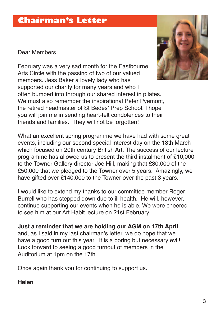### **Chairman's Letter**

Dear Members

February was a very sad month for the Eastbourne Arts Circle with the passing of two of our valued members. Jess Baker a lovely lady who has supported our charity for many years and who I often bumped into through our shared interest in pilates. We must also remember the inspirational Peter Pyemont, the retired headmaster of St Bedes' Prep School. I hope you will join me in sending heart-felt condolences to their friends and families. They will not be forgotten!



I would like to extend my thanks to our committee member Roger Burrell who has stepped down due to ill health. He will, however, continue supporting our events when he is able. We were cheered to see him at our Art Habit lecture on 21st February.

**Just a reminder that we are holding our aGM on 17th april** and, as I said in my last chairman's letter, we do hope that we have a good turn out this year. It is a boring but necessary evil! Look forward to seeing a good turnout of members in the Auditorium at 1pm on the 17th.

Once again thank you for continuing to support us.

#### **Helen**

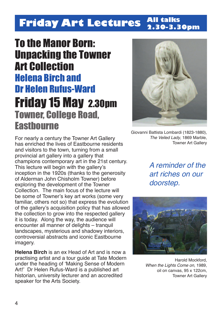#### **Friday Art Lectures All talks 2.30-3.30pm**

## To the Manor Born: Unpacking the Towner Art Collection Helena Birch and Dr Helen Rufus-Ward Friday 15 May 2.30pm Towner, College Road, **Fasthourne**

For nearly a century the Towner Art Gallery has enriched the lives of Eastbourne residents and visitors to the town, turning from a small provincial art gallery into a gallery that champions contemporary art in the 21st century. This lecture will begin with the gallery's inception in the 1920s (thanks to the generosity of Alderman John Chisholm Towner) before exploring the development of the Towner Collection. The main focus of the lecture will be some of Towner's key art works (some very familiar, others not so) that express the evolution of the gallery's acquisition policy that has allowed the collection to grow into the respected gallery it is today. Along the way, the audience will encounter all manner of delights – tranquil landscapes, mysterious and shadowy interiors, controversial abstracts and iconic Eastbourne imagery.

**Helena birch** is an ex Head of Art and is now a practising artist and a tour guide at Tate Modern under the heading of 'Making Sense of Modern Art!' Dr Helen Rufus-Ward is a published art historian, university lecturer and an accredited speaker for the Arts Society.



Giovanni Battista Lombardi (1823-1880), The Veiled Lady, 1869 Marble, Towner Art Gallery

A reminder of the art riches on our doorstep.



Harold Mockford, When the Lights Come on, 1989. oil on canvas, 95 x 122cm, Towner Art Gallery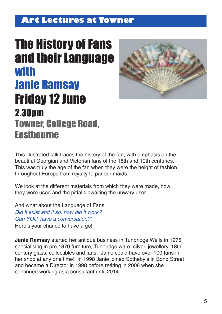### **Art Lectures at Towner**

# **The History of Fans** and their Language with Janie Ramsay Friday 12 June 2.30pm Towner, College Road, **Fasthourne**



This illustrated talk traces the history of the fan, with emphasis on the beautiful Georgian and Victorian fans of the 18th and 19th centuries. This was truly the age of the fan when they were the height of fashion throughout Europe from royalty to parlour maids.

We look at the different materials from which they were made, how they were used and the pitfalls awaiting the unwary user.

And what about the Language of Fans. Did it exist and if so, how did it work? Can YOU 'have a conversation?' Here's your chance to have a go!

**Janie Ramsay** started her antique business in Tunbridge Wells in 1975 specialising in pre 1870 furniture, Tunbridge ware, silver, jewellery, 18th century glass, collectibles and fans. Janie could have over 100 fans in her shop at any one time! In 1998 Janie joined Sotheby's in Bond Street and became a Director in 1998 before retiring in 2008 when she continued working as a consultant until 2014.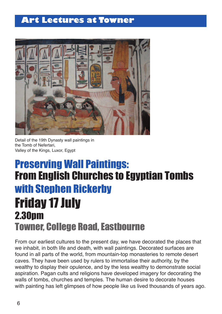### **Art Lectures at Towner**



Detail of the 19th Dynasty wall paintings in the Tomb of Nefertari, Valley of the Kings, Luxor, Egypt

## Preserving Wall Paintings: From English Churches to Egyptian Tombs with Stephen Rickerby **Friday 17 July** 2.30pm Towner, College Road, Eastbourne

From our earliest cultures to the present day, we have decorated the places that we inhabit, in both life and death, with wall paintings. Decorated surfaces are found in all parts of the world, from mountain-top monasteries to remote desert caves. They have been used by rulers to immortalise their authority, by the wealthy to display their opulence, and by the less wealthy to demonstrate social aspiration. Pagan cults and religions have developed imagery for decorating the walls of tombs, churches and temples. The human desire to decorate houses with painting has left glimpses of how people like us lived thousands of years ago.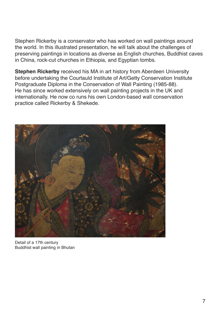Stephen Rickerby is a conservator who has worked on wall paintings around the world. In this illustrated presentation, he will talk about the challenges of preserving paintings in locations as diverse as English churches, Buddhist caves in China, rock-cut churches in Ethiopia, and Egyptian tombs.

**Stephen Rickerby** received his MA in art history from Aberdeen University before undertaking the Courtauld Institute of Art/Getty Conservation Institute Postgraduate Diploma in the Conservation of Wall Painting (1985-88). He has since worked extensively on wall painting projects in the UK and internationally. He now co runs his own London-based wall conservation practice called Rickerby & Shekede.



Detail of a 17th century Buddhist wall painting in Bhutan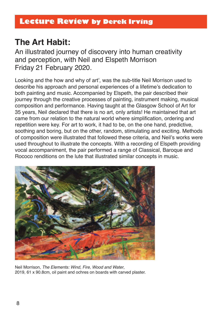## **the art Habit:**

An illustrated journey of discovery into human creativity and perception, with Neil and Elspeth Morrison Friday 21 February 2020.

Looking and the how and why of art', was the sub-title Neil Morrison used to describe his approach and personal experiences of a lifetime's dedication to both painting and music. Accompanied by Elspeth, the pair described their journey through the creative processes of painting, instrument making, musical composition and performance. Having taught at the Glasgow School of Art for 35 years, Neil declared that there is no art, only artists! He maintained that art came from our relation to the natural world where simplification, ordering and repetition were key. For art to work, it had to be, on the one hand, predictive, soothing and boring, but on the other, random, stimulating and exciting. Methods of composition were illustrated that followed these criteria, and Neil's works were used throughout to illustrate the concepts. With a recording of Elspeth providing vocal accompaniment, the pair performed a range of Classical, Baroque and Rococo renditions on the lute that illustrated similar concepts in music.



Neil Morrison, The Elements: Wind, Fire, Wood and Water, 2019, 61 x 90.8cm, oil paint and ochres on boards with carved plaster.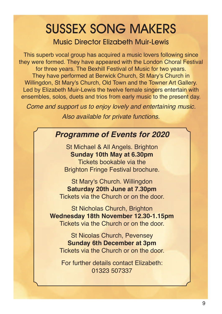# SUSSEX SONG MAKERS

Music Director Elizabeth Muir-Lewis

This superb vocal group has acquired a music lovers following since they were formed. They have appeared with the London Choral Festival for three years. The Bexhill Festival of Music for two years. They have performed at Berwick Church, St Mary's Church in Willingdon, St Mary's Church, Old Town and the Towner Art Gallery. Led by Elizabeth Muir-Lewis the twelve female singers entertain with ensembles, solos, duets and trios from early music to the present day.

Come and support us to enjoy lovely and entertaining music.

Also available for private functions.

### **Programme of Events for 2020**

St Michael & All Angels. Brighton **Sunday 10th May at 6.30pm** Tickets bookable via the Brighton Fringe Festival brochure.

St Mary's Church. Willingdon **Saturday 20th June at 7.30pm** Tickets via the Church or on the door.

St Nicholas Church, Brighton **Wednesday 18th November 12.30-1.15pm** Tickets via the Church or on the door.

St Nicolas Church, Pevensey **Sunday 6th December at 3pm** Tickets via the Church or on the door.

For further details contact Elizabeth: 01323 507337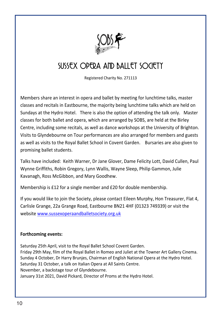

## SUSSEX ODEDA AND BALLET SOCIETY

Registered Charity No. 271113

Members share an interest in opera and ballet by meeting for lunchtime talks, master classes and recitals in Eastbourne, the maiority being lunchtime talks which are held on Sundays at the Hydro Hotel. There is also the option of attending the talk only. Master classes for both ballet and opera, which are arranged by SOBS, are held at the Birley Centre, including some recitals, as well as dance workshops at the University of Brighton. Visits to Glyndebourne on Tour performances are also arranged for members and guests as well as visits to the Royal Ballet School in Covent Garden. Bursaries are also given to promising ballet students.

Talks have included: Keith Warner, Dr Jane Glover, Dame Felicity Lott, David Cullen, Paul Wynne Griffiths, Robin Gregory, Lynn Wallis, Wayne Sleep, Philip Gammon, Julie Kavanagh, Ross McGibbon, and Mary Goodhew.

Membership is £12 for a single member and £20 for double membership.

If you would like to join the Society, please contact Eileen Murphy, Hon Treasurer, Flat 4, Carlisle Grange, 22a Grange Road, Eastbourne BN21 4HF (01323 749339) or visit the website www.sussexoperaandballetsociety.org.uk

#### Forthcoming events:

Saturday 25th April, visit to the Royal Ballet School Covent Garden. Friday 29th May, film of the Royal Ballet in Romeo and Juliet at the Towner Art Gallery Cinema. Sunday 4 October. Dr Harry Brunies. Chairman of English National Opera at the Hydro Hotel. Saturday 31 October, a talk on Italian Opera at All Saints Centre. November, a backstage tour of Glyndebourne. January 31st 2021, David Pickard, Director of Proms at the Hydro Hotel.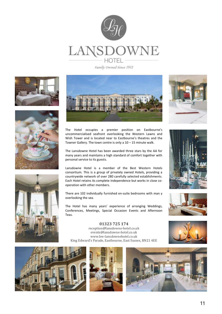

Family Owned Since 1912







The Hotel occupies a premier position on Eastbourne's uncommercialised seafront overlooking the Western Lawns and Wish Tower and is located near to Eastbourne's theatres and the Towner Gallery. The town centre is only a  $10 - 15$  minute walk.

The Lansdowne Hotel has been awarded three stars by the AA for many years and maintains a high standard of comfort together with personal service to its guests.

Lansdowne Hotel is a member of the Best Western Hotels consortium. This is a group of privately owned Hotels, providing a countrywide network of over 280 carefully selected establishments. Each Hotel retains its complete independence but works in close cooperation with other members.

There are 102 individually furnished en-suite bedrooms with man y overlooking the sea.

The Hotel has many years' experience of arranging Weddings, Conferences, Meetings, Special Occasion Events and Afternoon Teas.









**01323 725 174**  reception@lansdowne-hotel.co.uk events@lansdowne-hotel.co.uk www.bw-lansdownehotel.co.uk King Edward's Parade. Eastbourne. East Sussex. BN21 4EE